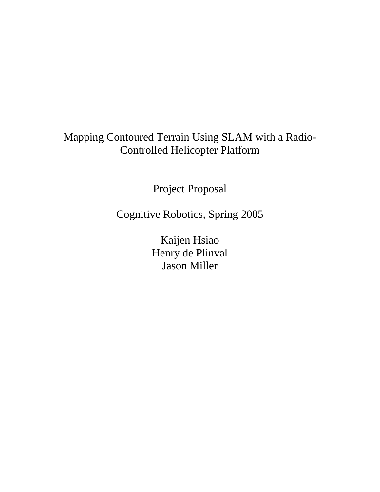# Mapping Contoured Terrain Using SLAM with a Radio-Controlled Helicopter Platform

Project Proposal

Cognitive Robotics, Spring 2005

Kaijen Hsiao Henry de Plinval Jason Miller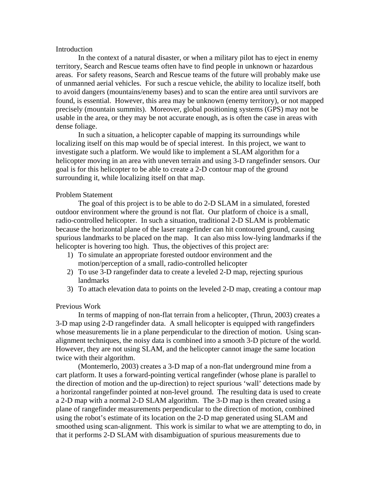# Introduction

 In the context of a natural disaster, or when a military pilot has to eject in enemy territory, Search and Rescue teams often have to find people in unknown or hazardous areas. For safety reasons, Search and Rescue teams of the future will probably make use of unmanned aerial vehicles. For such a rescue vehicle, the ability to localize itself, both to avoid dangers (mountains/enemy bases) and to scan the entire area until survivors are found, is essential. However, this area may be unknown (enemy territory), or not mapped precisely (mountain summits). Moreover, global positioning systems (GPS) may not be usable in the area, or they may be not accurate enough, as is often the case in areas with dense foliage.

 In such a situation, a helicopter capable of mapping its surroundings while localizing itself on this map would be of special interest. In this project, we want to investigate such a platform. We would like to implement a SLAM algorithm for a helicopter moving in an area with uneven terrain and using 3-D rangefinder sensors. Our goal is for this helicopter to be able to create a 2-D contour map of the ground surrounding it, while localizing itself on that map.

# Problem Statement

The goal of this project is to be able to do 2-D SLAM in a simulated, forested outdoor environment where the ground is not flat. Our platform of choice is a small, radio-controlled helicopter. In such a situation, traditional 2-D SLAM is problematic because the horizontal plane of the laser rangefinder can hit contoured ground, causing spurious landmarks to be placed on the map. It can also miss low-lying landmarks if the helicopter is hovering too high. Thus, the objectives of this project are:

- 1) To simulate an appropriate forested outdoor environment and the motion/perception of a small, radio-controlled helicopter
- 2) To use 3-D rangefinder data to create a leveled 2-D map, rejecting spurious landmarks
- 3) To attach elevation data to points on the leveled 2-D map, creating a contour map

#### Previous Work

 In terms of mapping of non-flat terrain from a helicopter, (Thrun, 2003) creates a 3-D map using 2-D rangefinder data. A small helicopter is equipped with rangefinders whose measurements lie in a plane perpendicular to the direction of motion. Using scanalignment techniques, the noisy data is combined into a smooth 3-D picture of the world. However, they are not using SLAM, and the helicopter cannot image the same location twice with their algorithm.

 (Montemerlo, 2003) creates a 3-D map of a non-flat underground mine from a cart platform. It uses a forward-pointing vertical rangefinder (whose plane is parallel to the direction of motion and the up-direction) to reject spurious 'wall' detections made by a horizontal rangefinder pointed at non-level ground. The resulting data is used to create a 2-D map with a normal 2-D SLAM algorithm. The 3-D map is then created using a plane of rangefinder measurements perpendicular to the direction of motion, combined using the robot's estimate of its location on the 2-D map generated using SLAM and smoothed using scan-alignment. This work is similar to what we are attempting to do, in that it performs 2-D SLAM with disambiguation of spurious measurements due to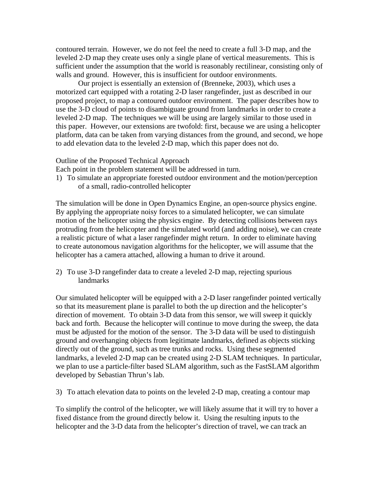contoured terrain. However, we do not feel the need to create a full 3-D map, and the leveled 2-D map they create uses only a single plane of vertical measurements. This is sufficient under the assumption that the world is reasonably rectilinear, consisting only of walls and ground. However, this is insufficient for outdoor environments.

 Our project is essentially an extension of (Brenneke, 2003), which uses a motorized cart equipped with a rotating 2-D laser rangefinder, just as described in our proposed project, to map a contoured outdoor environment. The paper describes how to use the 3-D cloud of points to disambiguate ground from landmarks in order to create a leveled 2-D map. The techniques we will be using are largely similar to those used in this paper. However, our extensions are twofold: first, because we are using a helicopter platform, data can be taken from varying distances from the ground, and second, we hope to add elevation data to the leveled 2-D map, which this paper does not do.

## Outline of the Proposed Technical Approach

Each point in the problem statement will be addressed in turn.

1) To simulate an appropriate forested outdoor environment and the motion/perception of a small, radio-controlled helicopter

The simulation will be done in Open Dynamics Engine, an open-source physics engine. By applying the appropriate noisy forces to a simulated helicopter, we can simulate motion of the helicopter using the physics engine. By detecting collisions between rays protruding from the helicopter and the simulated world (and adding noise), we can create a realistic picture of what a laser rangefinder might return. In order to eliminate having to create autonomous navigation algorithms for the helicopter, we will assume that the helicopter has a camera attached, allowing a human to drive it around.

2) To use 3-D rangefinder data to create a leveled 2-D map, rejecting spurious landmarks

Our simulated helicopter will be equipped with a 2-D laser rangefinder pointed vertically so that its measurement plane is parallel to both the up direction and the helicopter's direction of movement. To obtain 3-D data from this sensor, we will sweep it quickly back and forth. Because the helicopter will continue to move during the sweep, the data must be adjusted for the motion of the sensor. The 3-D data will be used to distinguish ground and overhanging objects from legitimate landmarks, defined as objects sticking directly out of the ground, such as tree trunks and rocks. Using these segmented landmarks, a leveled 2-D map can be created using 2-D SLAM techniques. In particular, we plan to use a particle-filter based SLAM algorithm, such as the FastSLAM algorithm developed by Sebastian Thrun's lab.

3) To attach elevation data to points on the leveled 2-D map, creating a contour map

To simplify the control of the helicopter, we will likely assume that it will try to hover a fixed distance from the ground directly below it. Using the resulting inputs to the helicopter and the 3-D data from the helicopter's direction of travel, we can track an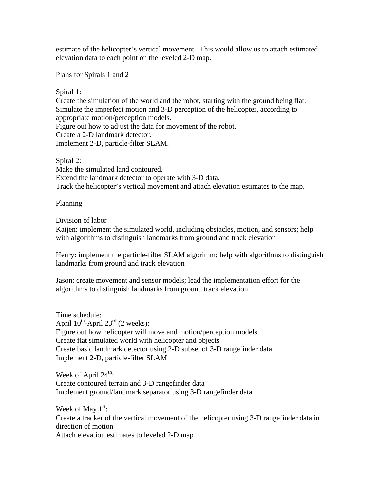estimate of the helicopter's vertical movement. This would allow us to attach estimated elevation data to each point on the leveled 2-D map.

Plans for Spirals 1 and 2

Spiral 1:

Create the simulation of the world and the robot, starting with the ground being flat. Simulate the imperfect motion and 3-D perception of the helicopter, according to appropriate motion/perception models. Figure out how to adjust the data for movement of the robot.

Create a 2-D landmark detector.

Implement 2-D, particle-filter SLAM.

Spiral 2: Make the simulated land contoured. Extend the landmark detector to operate with 3-D data. Track the helicopter's vertical movement and attach elevation estimates to the map.

Planning

Division of labor

Kaijen: implement the simulated world, including obstacles, motion, and sensors; help with algorithms to distinguish landmarks from ground and track elevation

Henry: implement the particle-filter SLAM algorithm; help with algorithms to distinguish landmarks from ground and track elevation

Jason: create movement and sensor models; lead the implementation effort for the algorithms to distinguish landmarks from ground track elevation

Time schedule: April  $10^{th}$ -April  $23^{rd}$  (2 weeks): Figure out how helicopter will move and motion/perception models Create flat simulated world with helicopter and objects Create basic landmark detector using 2-D subset of 3-D rangefinder data Implement 2-D, particle-filter SLAM

Week of April  $24^{\text{th}}$ : Create contoured terrain and 3-D rangefinder data Implement ground/landmark separator using 3-D rangefinder data

Week of May  $1<sup>st</sup>$ : Create a tracker of the vertical movement of the helicopter using 3-D rangefinder data in direction of motion Attach elevation estimates to leveled 2-D map